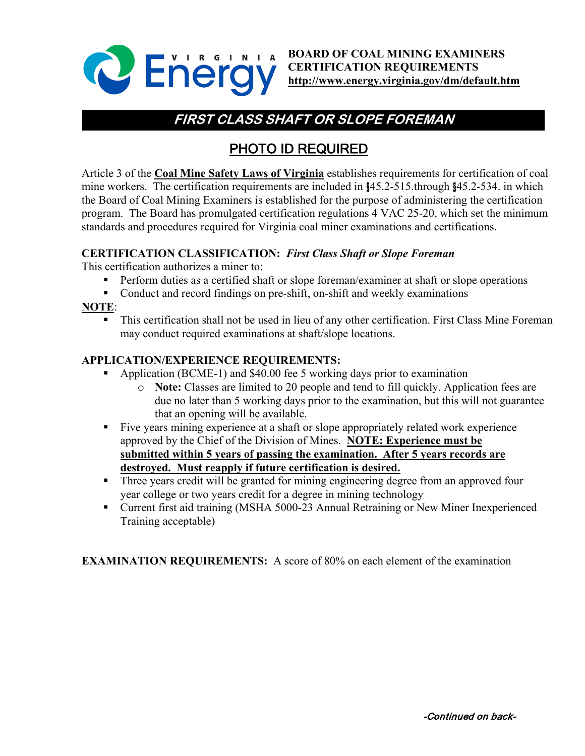

**BOARD OF COAL MINING EXAMINERS CERTIFICATION REQUIREMENTS <http://www.energy.virginia.gov/dm/default.htm>**

# **FIRST CLASS SHAFT OR SLOPE FOREMAN**

## PHOTO ID REQUIRED

Article 3 of the **Coal Mine Safety Laws of Virginia** establishes requirements for certification of coal mine workers. The certification requirements are included in §45.2-515.through §45.2-534. in which the Board of Coal Mining Examiners is established for the purpose of administering the certification program. The Board has promulgated certification regulations 4 VAC 25-20, which set the minimum standards and procedures required for Virginia coal miner examinations and certifications.

#### **CERTIFICATION CLASSIFICATION:** *First Class Shaft or Slope Foreman*

This certification authorizes a miner to:

- **Perform duties as a certified shaft or slope foreman/examiner at shaft or slope operations**
- Conduct and record findings on pre-shift, on-shift and weekly examinations

### **NOTE**:

 This certification shall not be used in lieu of any other certification. First Class Mine Foreman may conduct required examinations at shaft/slope locations.

#### **APPLICATION/EXPERIENCE REQUIREMENTS:**

- Application (BCME-1) and \$40.00 fee 5 working days prior to examination
	- o **Note:** Classes are limited to 20 people and tend to fill quickly. Application fees are due no later than 5 working days prior to the examination, but this will not guarantee that an opening will be available.
- Five years mining experience at a shaft or slope appropriately related work experience approved by the Chief of the Division of Mines. **NOTE: Experience must be submitted within 5 years of passing the examination. After 5 years records are destroyed. Must reapply if future certification is desired.**
- **Three years credit will be granted for mining engineering degree from an approved four** year college or two years credit for a degree in mining technology
- Current first aid training (MSHA 5000-23 Annual Retraining or New Miner Inexperienced Training acceptable)

**EXAMINATION REQUIREMENTS:** A score of 80% on each element of the examination